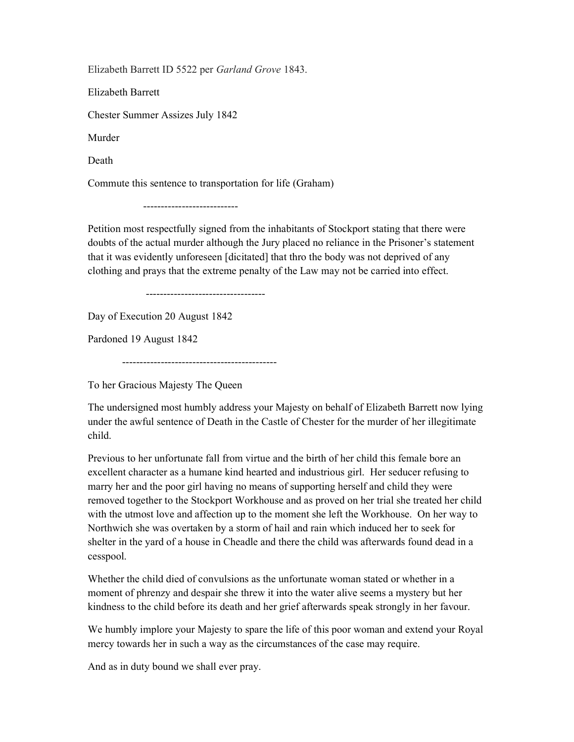Elizabeth Barrett ID 5522 per Garland Grove 1843.

Elizabeth Barrett

Chester Summer Assizes July 1842

Murder

Death

Commute this sentence to transportation for life (Graham)

---------------------------

Petition most respectfully signed from the inhabitants of Stockport stating that there were doubts of the actual murder although the Jury placed no reliance in the Prisoner's statement that it was evidently unforeseen [dicitated] that thro the body was not deprived of any clothing and prays that the extreme penalty of the Law may not be carried into effect.

----------------------------------

Day of Execution 20 August 1842

Pardoned 19 August 1842

--------------------------------------------

To her Gracious Majesty The Queen

The undersigned most humbly address your Majesty on behalf of Elizabeth Barrett now lying under the awful sentence of Death in the Castle of Chester for the murder of her illegitimate child.

Previous to her unfortunate fall from virtue and the birth of her child this female bore an excellent character as a humane kind hearted and industrious girl. Her seducer refusing to marry her and the poor girl having no means of supporting herself and child they were removed together to the Stockport Workhouse and as proved on her trial she treated her child with the utmost love and affection up to the moment she left the Workhouse. On her way to Northwich she was overtaken by a storm of hail and rain which induced her to seek for shelter in the yard of a house in Cheadle and there the child was afterwards found dead in a cesspool.

Whether the child died of convulsions as the unfortunate woman stated or whether in a moment of phrenzy and despair she threw it into the water alive seems a mystery but her kindness to the child before its death and her grief afterwards speak strongly in her favour.

We humbly implore your Majesty to spare the life of this poor woman and extend your Royal mercy towards her in such a way as the circumstances of the case may require.

And as in duty bound we shall ever pray.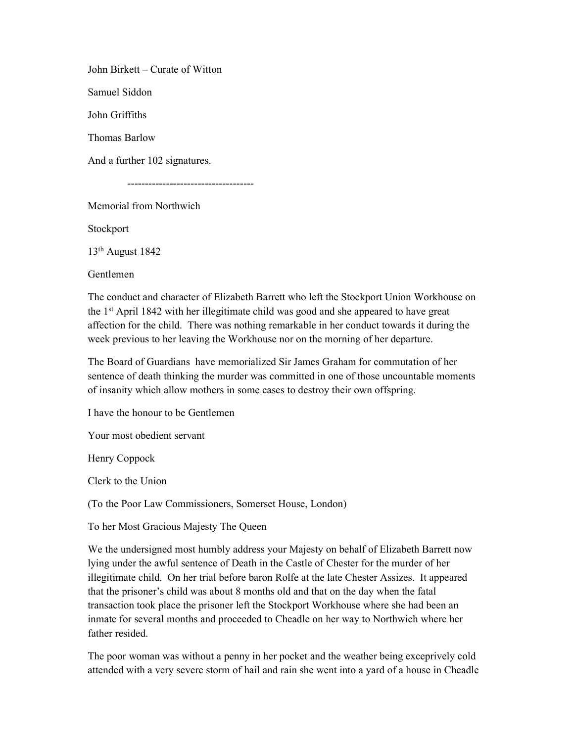John Birkett – Curate of Witton

Samuel Siddon

John Griffiths

Thomas Barlow

And a further 102 signatures.

------------------------------------

Memorial from Northwich

Stockport

13th August 1842

Gentlemen

The conduct and character of Elizabeth Barrett who left the Stockport Union Workhouse on the 1st April 1842 with her illegitimate child was good and she appeared to have great affection for the child. There was nothing remarkable in her conduct towards it during the week previous to her leaving the Workhouse nor on the morning of her departure.

The Board of Guardians have memorialized Sir James Graham for commutation of her sentence of death thinking the murder was committed in one of those uncountable moments of insanity which allow mothers in some cases to destroy their own offspring.

I have the honour to be Gentlemen

Your most obedient servant

Henry Coppock

Clerk to the Union

(To the Poor Law Commissioners, Somerset House, London)

To her Most Gracious Majesty The Queen

We the undersigned most humbly address your Majesty on behalf of Elizabeth Barrett now lying under the awful sentence of Death in the Castle of Chester for the murder of her illegitimate child. On her trial before baron Rolfe at the late Chester Assizes. It appeared that the prisoner's child was about 8 months old and that on the day when the fatal transaction took place the prisoner left the Stockport Workhouse where she had been an inmate for several months and proceeded to Cheadle on her way to Northwich where her father resided.

The poor woman was without a penny in her pocket and the weather being exceprively cold attended with a very severe storm of hail and rain she went into a yard of a house in Cheadle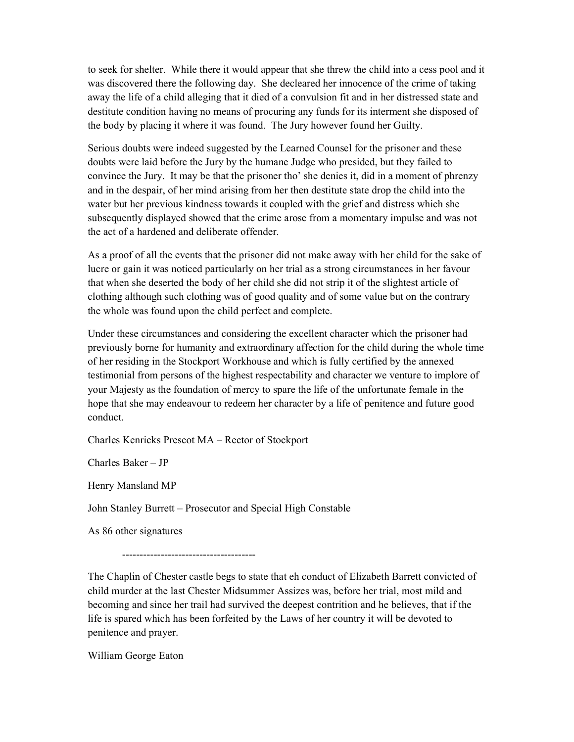to seek for shelter. While there it would appear that she threw the child into a cess pool and it was discovered there the following day. She decleared her innocence of the crime of taking away the life of a child alleging that it died of a convulsion fit and in her distressed state and destitute condition having no means of procuring any funds for its interment she disposed of the body by placing it where it was found. The Jury however found her Guilty.

Serious doubts were indeed suggested by the Learned Counsel for the prisoner and these doubts were laid before the Jury by the humane Judge who presided, but they failed to convince the Jury. It may be that the prisoner tho' she denies it, did in a moment of phrenzy and in the despair, of her mind arising from her then destitute state drop the child into the water but her previous kindness towards it coupled with the grief and distress which she subsequently displayed showed that the crime arose from a momentary impulse and was not the act of a hardened and deliberate offender.

As a proof of all the events that the prisoner did not make away with her child for the sake of lucre or gain it was noticed particularly on her trial as a strong circumstances in her favour that when she deserted the body of her child she did not strip it of the slightest article of clothing although such clothing was of good quality and of some value but on the contrary the whole was found upon the child perfect and complete.

Under these circumstances and considering the excellent character which the prisoner had previously borne for humanity and extraordinary affection for the child during the whole time of her residing in the Stockport Workhouse and which is fully certified by the annexed testimonial from persons of the highest respectability and character we venture to implore of your Majesty as the foundation of mercy to spare the life of the unfortunate female in the hope that she may endeavour to redeem her character by a life of penitence and future good conduct.

Charles Kenricks Prescot MA – Rector of Stockport

Charles Baker – JP

Henry Mansland MP

John Stanley Burrett – Prosecutor and Special High Constable

As 86 other signatures

--------------------------------------

The Chaplin of Chester castle begs to state that eh conduct of Elizabeth Barrett convicted of child murder at the last Chester Midsummer Assizes was, before her trial, most mild and becoming and since her trail had survived the deepest contrition and he believes, that if the life is spared which has been forfeited by the Laws of her country it will be devoted to penitence and prayer.

William George Eaton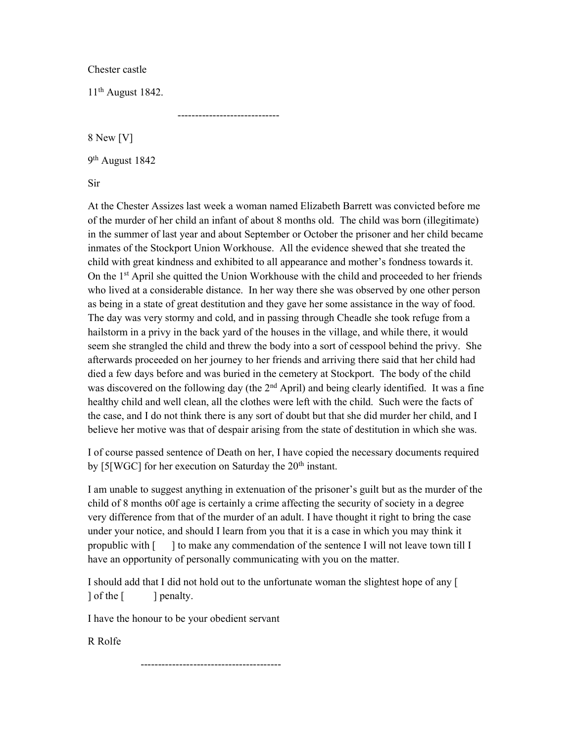Chester castle

11th August 1842.

-----------------------------

8 New [V]

9<sup>th</sup> August 1842

Sir

At the Chester Assizes last week a woman named Elizabeth Barrett was convicted before me of the murder of her child an infant of about 8 months old. The child was born (illegitimate) in the summer of last year and about September or October the prisoner and her child became inmates of the Stockport Union Workhouse. All the evidence shewed that she treated the child with great kindness and exhibited to all appearance and mother's fondness towards it. On the 1st April she quitted the Union Workhouse with the child and proceeded to her friends who lived at a considerable distance. In her way there she was observed by one other person as being in a state of great destitution and they gave her some assistance in the way of food. The day was very stormy and cold, and in passing through Cheadle she took refuge from a hailstorm in a privy in the back yard of the houses in the village, and while there, it would seem she strangled the child and threw the body into a sort of cesspool behind the privy. She afterwards proceeded on her journey to her friends and arriving there said that her child had died a few days before and was buried in the cemetery at Stockport. The body of the child was discovered on the following day (the  $2<sup>nd</sup>$  April) and being clearly identified. It was a fine healthy child and well clean, all the clothes were left with the child. Such were the facts of the case, and I do not think there is any sort of doubt but that she did murder her child, and I believe her motive was that of despair arising from the state of destitution in which she was.

I of course passed sentence of Death on her, I have copied the necessary documents required by [5[WGC] for her execution on Saturday the  $20<sup>th</sup>$  instant.

I am unable to suggest anything in extenuation of the prisoner's guilt but as the murder of the child of 8 months o0f age is certainly a crime affecting the security of society in a degree very difference from that of the murder of an adult. I have thought it right to bring the case under your notice, and should I learn from you that it is a case in which you may think it propublic with [ ] to make any commendation of the sentence I will not leave town till I have an opportunity of personally communicating with you on the matter.

I should add that I did not hold out to the unfortunate woman the slightest hope of any [ | of the  $\lceil \cdot \cdot \cdot \rceil$  penalty.

I have the honour to be your obedient servant

R Rolfe

----------------------------------------